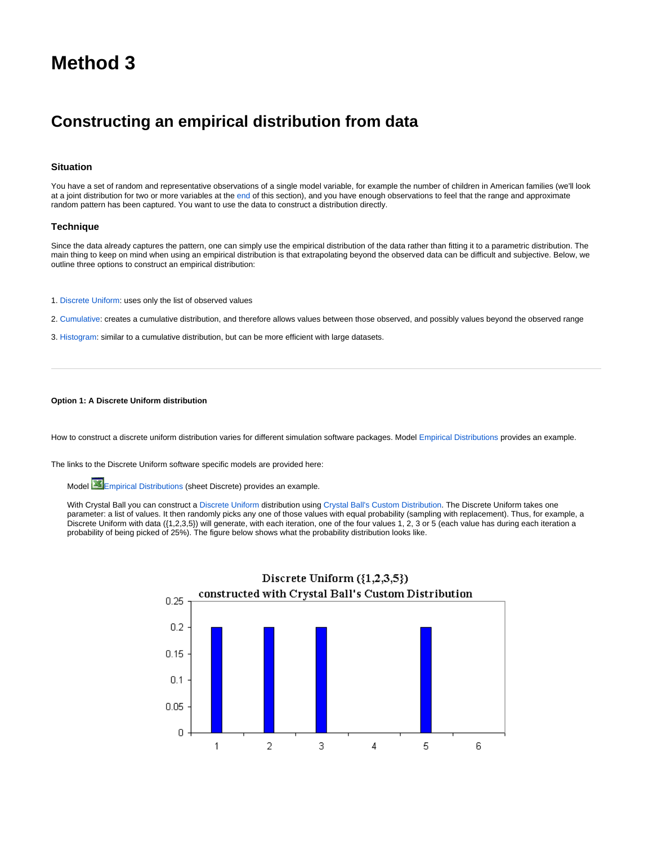# <span id="page-0-0"></span>**Method 3**

## **Constructing an empirical distribution from data**

### **Situation**

You have a set of random and representative observations of a single model variable, for example the number of children in American families (we'll look at a joint distribution for two or more variables at the [end](#page-0-0) of this section), and you have enough observations to feel that the range and approximate random pattern has been captured. You want to use the data to construct a distribution directly.

#### **Technique**

Since the data already captures the pattern, one can simply use the empirical distribution of the data rather than fitting it to a parametric distribution. The main thing to keep on mind when using an empirical distribution is that extrapolating beyond the observed data can be difficult and subjective. Below, we outline three options to construct an empirical distribution:

- 1. [Discrete Uniform](https://modelassist.epixanalytics.com/display/EA/Discrete+Uniform): uses only the list of observed values
- 2. [Cumulative:](https://modelassist.epixanalytics.com/display/EA/Cumulative+Ascending) creates a cumulative distribution, and therefore allows values between those observed, and possibly values beyond the observed range
- 3. [Histogram:](https://modelassist.epixanalytics.com/display/EA/Histogram) similar to a cumulative distribution, but can be more efficient with large datasets.

#### **Option 1: A Discrete Uniform distribution**

How to construct a discrete uniform distribution varies for different simulation software packages. Model [Empirical Distributions](#page-0-1) provides an example.

<span id="page-0-1"></span>The links to the Discrete Uniform software specific models are provided here:

Model **Exercise [Empirical Distributions](https://modelassist.epixanalytics.com/download/attachments/4653181/Empirical_distributions-CB.xlsx?version=1&modificationDate=1506113492000&api=v2) (sheet Discrete) provides an example.** 

With Crystal Ball you can construct a [Discrete Uniform](https://modelassist.epixanalytics.com/display/EA/Discrete+Uniform) distribution using [Crystal Ball's Custom Distribution](https://modelassist.epixanalytics.com/pages/viewpage.action?pageId=1148266). The Discrete Uniform takes one parameter: a list of values. It then randomly picks any one of those values with equal probability (sampling with replacement). Thus, for example, a Discrete Uniform with data ({1,2,3,5}) will generate, with each iteration, one of the four values 1, 2, 3 or 5 (each value has during each iteration a probability of being picked of 25%). The figure below shows what the probability distribution looks like.

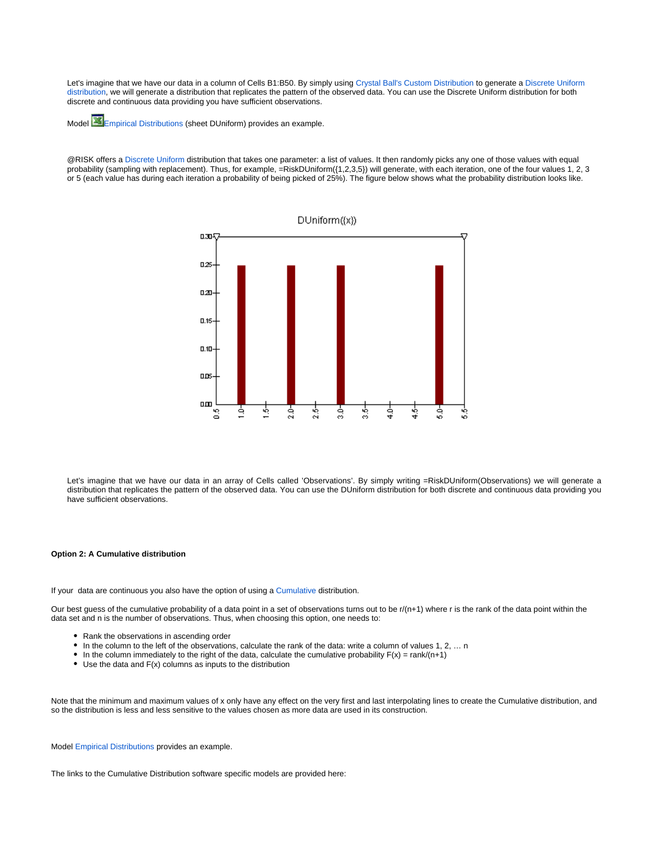Let's imagine that we have our data in a column of Cells B1:B50. By simply using [Crystal Ball's Custom Distribution](https://modelassist.epixanalytics.com/pages/viewpage.action?pageId=1148266) to generate a Discrete Uniform [distribution](https://modelassist.epixanalytics.com/display/EA/Discrete+Uniform), we will generate a distribution that replicates the pattern of the observed data. You can use the Discrete Uniform distribution for both discrete and continuous data providing you have sufficient observations.

Model [Empirical Distributions](https://modelassist.epixanalytics.com/download/attachments/4657223/Empirical_distributions-AtRISK.xlsx?version=1&modificationDate=1506097510000&api=v2) (sheet DUniform) provides an example.

@RISK offers a [Discrete Uniform](https://modelassist.epixanalytics.com/display/EA/Discrete+Uniform) distribution that takes one parameter: a list of values. It then randomly picks any one of those values with equal probability (sampling with replacement). Thus, for example, =RiskDUniform({1,2,3,5}) will generate, with each iteration, one of the four values 1, 2, 3 or 5 (each value has during each iteration a probability of being picked of 25%). The figure below shows what the probability distribution looks like.



Let's imagine that we have our data in an array of Cells called 'Observations'. By simply writing =RiskDUniform(Observations) we will generate a distribution that replicates the pattern of the observed data. You can use the DUniform distribution for both discrete and continuous data providing you have sufficient observations.

#### **Option 2: A Cumulative distribution**

If your data are continuous you also have the option of using a [Cumulative](https://modelassist.epixanalytics.com/display/EA/Cumulative+ascending) distribution.

Our best guess of the cumulative probability of a data point in a set of observations turns out to be r/(n+1) where r is the rank of the data point within the data set and n is the number of observations. Thus, when choosing this option, one needs to:

- Rank the observations in ascending order
- In the column to the left of the observations, calculate the rank of the data: write a column of values 1, 2, … n
- In the column immediately to the right of the data, calculate the cumulative probability  $F(x) = \text{rank} / (n+1)$
- $\bullet$  Use the data and  $F(x)$  columns as inputs to the distribution

Note that the minimum and maximum values of x only have any effect on the very first and last interpolating lines to create the Cumulative distribution, and so the distribution is less and less sensitive to the values chosen as more data are used in its construction.

Model [Empirical Distributions](#page-1-0) provides an example.

<span id="page-1-0"></span>The links to the Cumulative Distribution software specific models are provided here: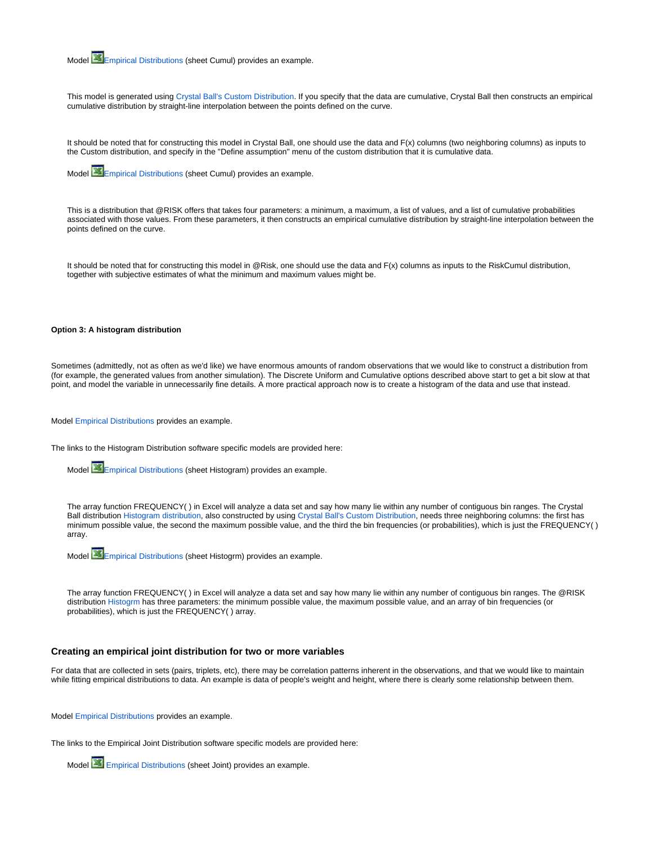Model [Empirical Distributions](https://modelassist.epixanalytics.com/download/attachments/4653181/Empirical_distributions-CB.xlsx?version=1&modificationDate=1506113492000&api=v2) (sheet Cumul) provides an example.

This model is generated using [Crystal Ball's Custom Distribution.](https://modelassist.epixanalytics.com/display/EA/Introduction+-+The+Custom+Distribution+in+Crystal+Ball) If you specify that the data are cumulative, Crystal Ball then constructs an empirical cumulative distribution by straight-line interpolation between the points defined on the curve.

It should be noted that for constructing this model in Crystal Ball, one should use the data and F(x) columns (two neighboring columns) as inputs to the Custom distribution, and specify in the "Define assumption" menu of the custom distribution that it is cumulative data.

Model [Empirical Distributions](https://modelassist.epixanalytics.com/download/attachments/4657223/Empirical_distributions-AtRISK.xlsx?version=1&modificationDate=1506097510000&api=v2) (sheet Cumul) provides an example.

This is a distribution that @RISK offers that takes four parameters: a minimum, a maximum, a list of values, and a list of cumulative probabilities associated with those values. From these parameters, it then constructs an empirical cumulative distribution by straight-line interpolation between the points defined on the curve.

It should be noted that for constructing this model in @Risk, one should use the data and F(x) columns as inputs to the RiskCumul distribution, together with subjective estimates of what the minimum and maximum values might be.

#### **Option 3: A histogram distribution**

Sometimes (admittedly, not as often as we'd like) we have enormous amounts of random observations that we would like to construct a distribution from (for example, the generated values from another simulation). The Discrete Uniform and Cumulative options described above start to get a bit slow at that point, and model the variable in unnecessarily fine details. A more practical approach now is to create a histogram of the data and use that instead.

Model [Empirical Distributions](#page-2-0) provides an example.

<span id="page-2-0"></span>The links to the Histogram Distribution software specific models are provided here:

Model [Empirical Distributions](https://modelassist.epixanalytics.com/download/attachments/4657223/Empirical_distributions-AtRISK.xlsx?version=1&modificationDate=1506097510000&api=v2) (sheet Histogram) provides an example.

The array function FREQUENCY( ) in Excel will analyze a data set and say how many lie within any number of contiguous bin ranges. The Crystal Ball distribution [Histogram distribution](https://modelassist.epixanalytics.com/display/EA/Histogram), also constructed by using [Crystal Ball's Custom Distribution](https://modelassist.epixanalytics.com/pages/viewpage.action?pageId=1148266), needs three neighboring columns: the first has minimum possible value, the second the maximum possible value, and the third the bin frequencies (or probabilities), which is just the FREQUENCY( ) array.



The array function FREQUENCY( ) in Excel will analyze a data set and say how many lie within any number of contiguous bin ranges. The @RISK distribution [Histogrm](https://modelassist.epixanalytics.com/static/modelassist/AtRisk/Distributions/Continuous_distributions/Histogram.htm) has three parameters: the minimum possible value, the maximum possible value, and an array of bin frequencies (or probabilities), which is just the FREQUENCY( ) array.

#### **Creating an empirical joint distribution for two or more variables**

For data that are collected in sets (pairs, triplets, etc), there may be correlation patterns inherent in the observations, and that we would like to maintain while fitting empirical distributions to data. An example is data of people's weight and height, where there is clearly some relationship between them.

Model [Empirical Distributions](#page-2-1) provides an example.

<span id="page-2-1"></span>The links to the Empirical Joint Distribution software specific models are provided here:

Model [Empirical Distributions](https://modelassist.epixanalytics.com/download/attachments/4657223/Empirical_distributions-AtRISK.xlsx?version=1&modificationDate=1506097510000&api=v2) (sheet Joint) provides an example.